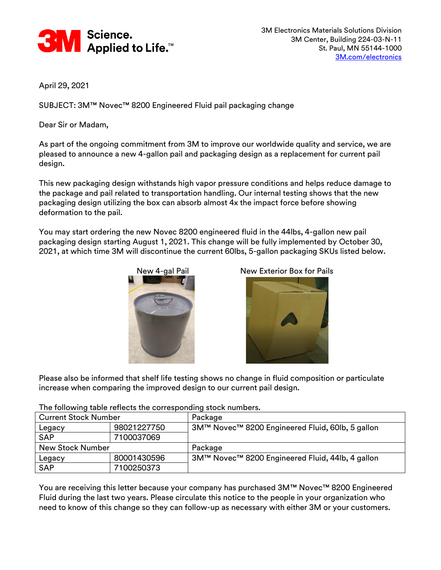

April 29, 2021

SUBJECT: 3M™ Novec™ 8200 Engineered Fluid pail packaging change

Dear Sir or Madam,

As part of the ongoing commitment from 3M to improve our worldwide quality and service, we are pleased to announce a new 4-gallon pail and packaging design as a replacement for current pail design.

This new packaging design withstands high vapor pressure conditions and helps reduce damage to the package and pail related to transportation handling. Our internal testing shows that the new packaging design utilizing the box can absorb almost 4x the impact force before showing deformation to the pail.

You may start ordering the new Novec 8200 engineered fluid in the 44lbs, 4-gallon new pail packaging design starting August 1, 2021. This change will be fully implemented by October 30, 2021, at which time 3M will discontinue the current 60lbs, 5-gallon packaging SKUs listed below.



New 4-gal Pail New Exterior Box for Pails



Please also be informed that shelf life testing shows no change in fluid composition or particulate increase when comparing the improved design to our current pail design.

The following table reflects the corresponding stock numbers.

| <b>Current Stock Number</b> |             | Package                                          |
|-----------------------------|-------------|--------------------------------------------------|
| Legacy                      | 98021227750 | 3M™ Novec™ 8200 Engineered Fluid, 60lb, 5 gallon |
| <b>SAP</b>                  | 7100037069  |                                                  |
| <b>New Stock Number</b>     |             | Package                                          |
| Legacy                      | 80001430596 | 3M™ Novec™ 8200 Engineered Fluid, 44lb, 4 gallon |
| <b>SAP</b>                  | 7100250373  |                                                  |

You are receiving this letter because your company has purchased 3M™ Novec™ 8200 Engineered Fluid during the last two years. Please circulate this notice to the people in your organization who need to know of this change so they can follow-up as necessary with either 3M or your customers.